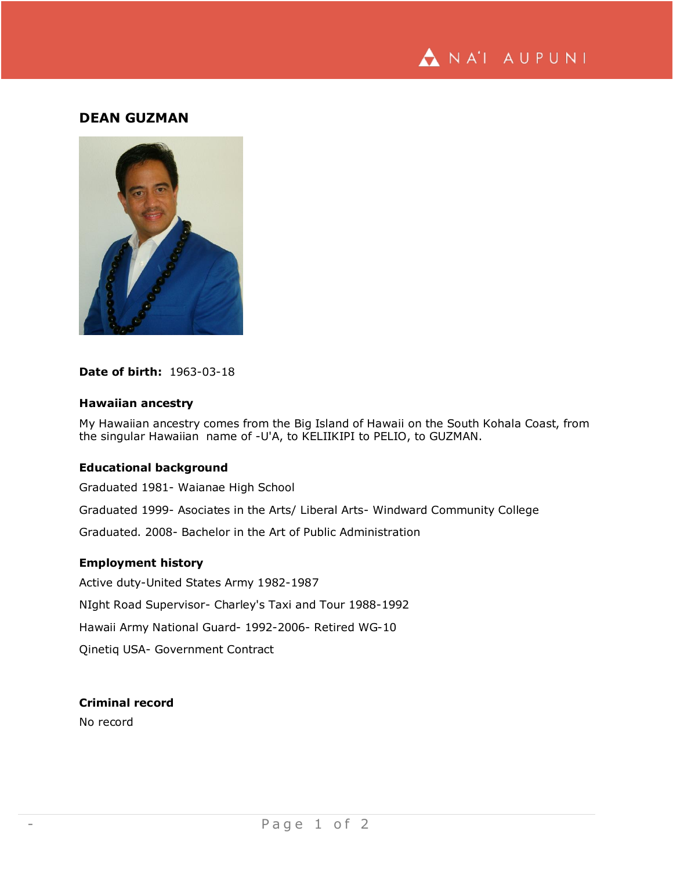

# **DEAN GUZMAN**



## **Date of birth:** 1963-03-18

#### **Hawaiian ancestry**

My Hawaiian ancestry comes from the Big Island of Hawaii on the South Kohala Coast, from the singular Hawaiian name of -U'A, to KELIIKIPI to PELIO, to GUZMAN.

### **Educational background**

Graduated 1981- Waianae High School Graduated 1999- Asociates in the Arts/ Liberal Arts- Windward Community College Graduated. 2008- Bachelor in the Art of Public Administration

## **Employment history**

Active duty-United States Army 1982-1987 NIght Road Supervisor- Charley's Taxi and Tour 1988-1992 Hawaii Army National Guard- 1992-2006- Retired WG-10 Qinetiq USA- Government Contract

### **Criminal record**

No record